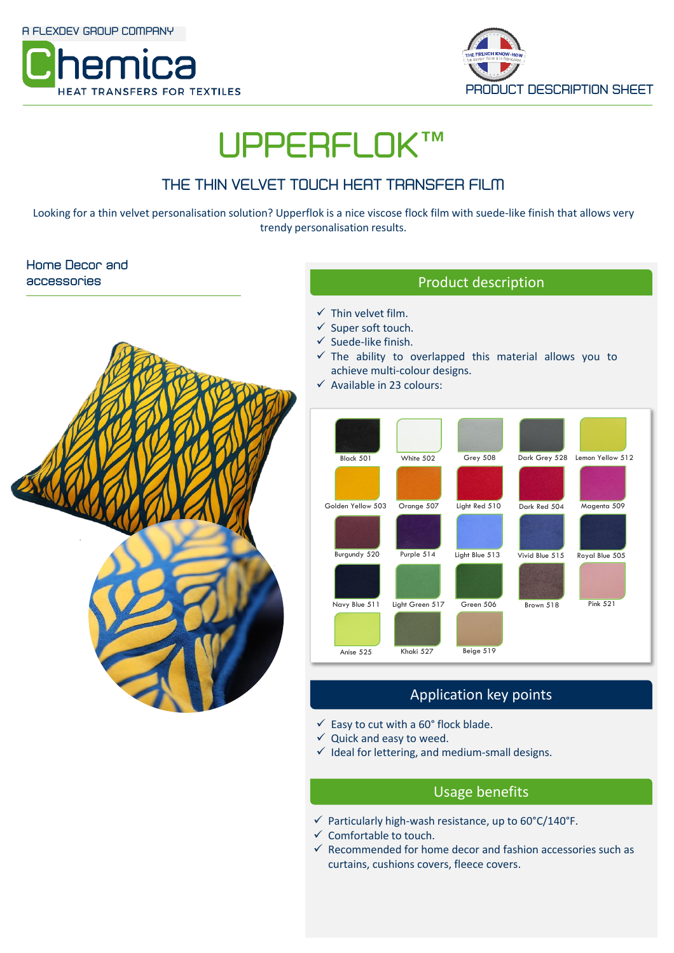



# **UPPERFLOK™**

## **THE THIN VELVET TOUCH HEAT TRANSFER FILM**

Looking for a thin velvet personalisation solution? Upperflok is a nice viscose flock film with suede-like finish that allows very trendy personalisation results.

## **Home Decor and accessories**



- $\checkmark$  Thin velvet film.
- ✓ Super soft touch.
- $\checkmark$  Suede-like finish.
- $\checkmark$  The ability to overlapped this material allows you to achieve multi-colour designs.
- $\checkmark$  Available in 23 colours:



## Application key points

- $\checkmark$  Easy to cut with a 60° flock blade.
- $\checkmark$  Quick and easy to weed.
- $\checkmark$  Ideal for lettering, and medium-small designs.

## Usage benefits

- $\checkmark$  Particularly high-wash resistance, up to 60°C/140°F.
- $\checkmark$  Comfortable to touch.
- $\checkmark$  Recommended for home decor and fashion accessories such as curtains, cushions covers, fleece covers.